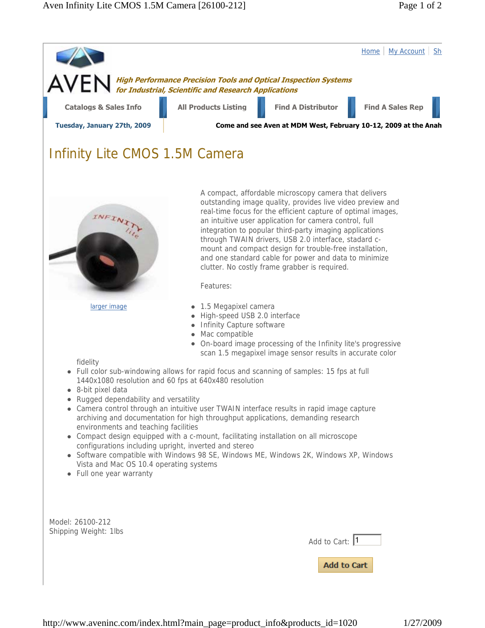